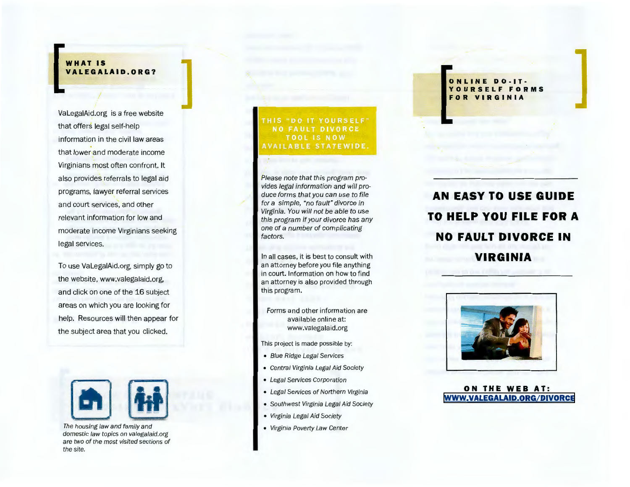**ONLINE DO·IT· YOURSELF FORMS FOR VIRGINIA** 

# **AN EASY TO USE GUIDE TO HELP YOU FILE FOR A NO FAULT DIVORCE IN VIRGINIA**



**ON THE WEB AT: [WWW. VALEGALAID.ORG/DIVORCE](www.valegalaid.org/divorce)**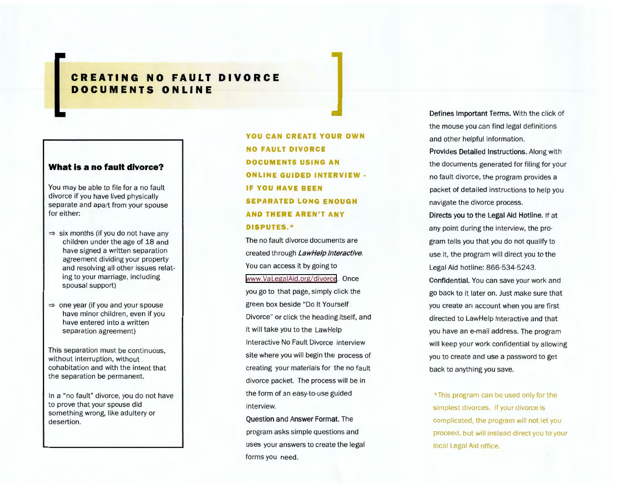## **NO FAULT DIVORCE CREATING ONLINE DOCUMENTS**

### **What is a no fault divorce?**

You may be able to file for a no fault divorce if you have lived physically separate and apart from your spouse for either:

- $\Rightarrow$  six months (if you do not have any children under the age of 18 and have signed a written separation agreement dividing your property and resolving all other issues relating to your marriage, including spousal support)
- $\Rightarrow$  one year (if you and your spouse have minor children, even if you have entered into a written separation agreement)

This separation must be continuous, without interruption, without cohabitation and with the intent that the separation be permanent.

In a "no fault" divorce, you do not have to prove that your spouse did something wrong, like adultery or desertion.

**YOU CAN CREATE YOUR OWN NO FAULT DIVORCE DOCUMENTS USING AN ONLINE GUIDED INTERVIEW-IF YOU HAVE BEEN SEPARATED LONG ENOUGH AND THERE AREN'T ANY DISPUTES.\*** 

The no fault divorce documents are created through LawHelp Interactive. You can access it by going to [www.VaLegaiAid.org/divorce](www.valegalaid.org/divorce). Once you go to that page, simply click the green box beside "Do It Yourself Divorce" or click the heading itself, and it will take you to the LawHelp Interactive No Fault Divorce interview site where you will begin the process of creating your materials for the no fault divorce packet. The process will be in the form of an easy-to-use guided interview.

Question and Answer Format. The program asks simple questions and uses your answers to create the legal forms you need.

Defines Important Terms. With the click of the mouse you can find legal definitions and other helpful information. Provides Detailed Instructions. Along with the documents generated for filing for your no fault divorce, the program provides a packet of detailed instructions to help you navigate the divorce process.

Directs you to the Legal Aid Hotline. If at any point during the interview, the program tells you that you do not qualify to use it, the program will direct you to the Legal Aid hotline: 866-534-5243. Confidential. You can save your work and go back to it later on. Just make sure that you create an account when you are first directed to LawHelp Interactive and that you have an e-mail address. The program will keep your work confidential by allowing you to create and use a password to get back to anything you save.

\*This program can be used only for the simplest divorces. If your divorce is complicated, the program will not let you proceed, but will instead direct you to your local Legal Aid office.